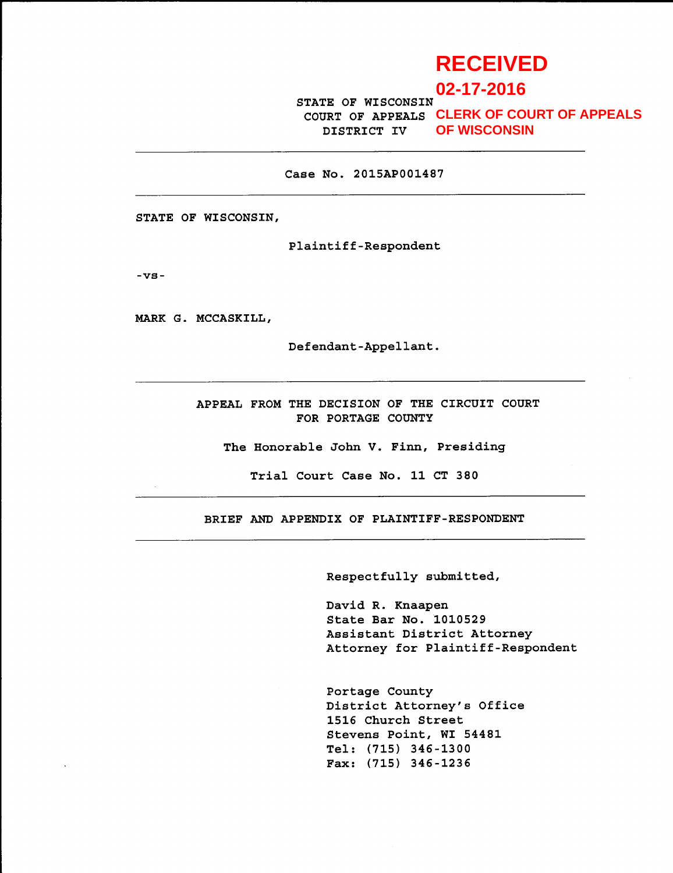# **RECEIVED**

**02-17-2016**

STATE OF WISCONSIN COURT OF APPEALS **CLERK OF COURT OF APPEALS** DISTRICT IV **OF WISCONSIN**

Case No. 2015AP00L487

STATE OF WISCONSIN,

Plaintiff-Respondent

-vg-

MARK G. MCCASKILL,

Defendant-Appellant.

APPEAI, FROM THE DECISION OF THE CIRCUIT COURT FOR PORTAGE COUNTY

The Honorable John V. Finn, Presiding

TriaL Court Case No. 11 CT 380

BRIEF AND APPENDIX OF PLAINTIFF-RESPONDENT

Respectfully submitted,

David R. Knaapen State Bar No. 1010529 Assistant, District Attorney Attorney for Plaintiff-Respondent

Portage County District Attorney's Office 15L5 Church Street Stevens Point, WI 54481 TeI: (715) 345-1300  $Fax: (715) 346 - 1236$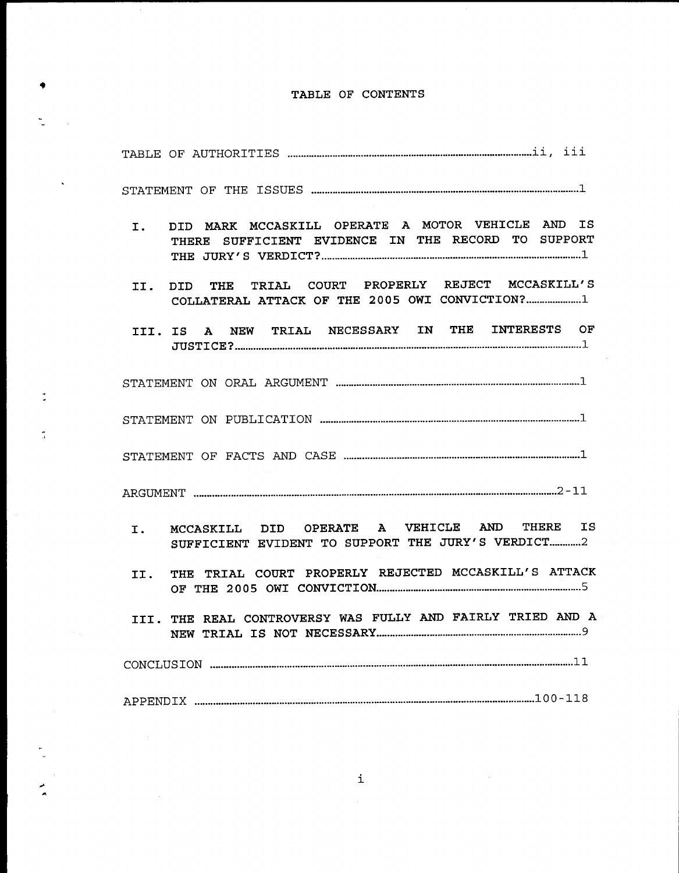# TABLE OF CONTENTS

 $\ddot{\bullet}$ 

t.  $\sim 10^6$ 

 $\frac{d}{dt}$ 

 $\tilde{\mathbb{I}}$ 

 $\frac{1}{2}$ 

 $\bar{z}$ 

 $\ddot{\phantom{0}}$ 

| DID MARK MCCASKILL OPERATE A MOTOR VEHICLE AND IS<br>I. <b>I.</b><br>THERE SUFFICIENT EVIDENCE IN THE RECORD TO SUPPORT |
|-------------------------------------------------------------------------------------------------------------------------|
| DID THE TRIAL COURT PROPERLY REJECT MCCASKILL'S<br>II.<br>COLLATERAL ATTACK OF THE 2005 OWI CONVICTION?1                |
| III. IS A NEW TRIAL NECESSARY IN THE INTERESTS OF                                                                       |
|                                                                                                                         |
|                                                                                                                         |
|                                                                                                                         |
|                                                                                                                         |
| MCCASKILL DID OPERATE A VEHICLE AND THERE IS<br>I. <b>I.</b><br>SUFFICIENT EVIDENT TO SUPPORT THE JURY'S VERDICT2       |
| THE TRIAL COURT PROPERLY REJECTED MCCASKILL'S ATTACK<br>II.                                                             |
| III. THE REAL CONTROVERSY WAS FULLY AND FAIRLY TRIED AND A                                                              |
|                                                                                                                         |
|                                                                                                                         |

 $\mathcal{L}^{\text{max}}_{\text{max}}$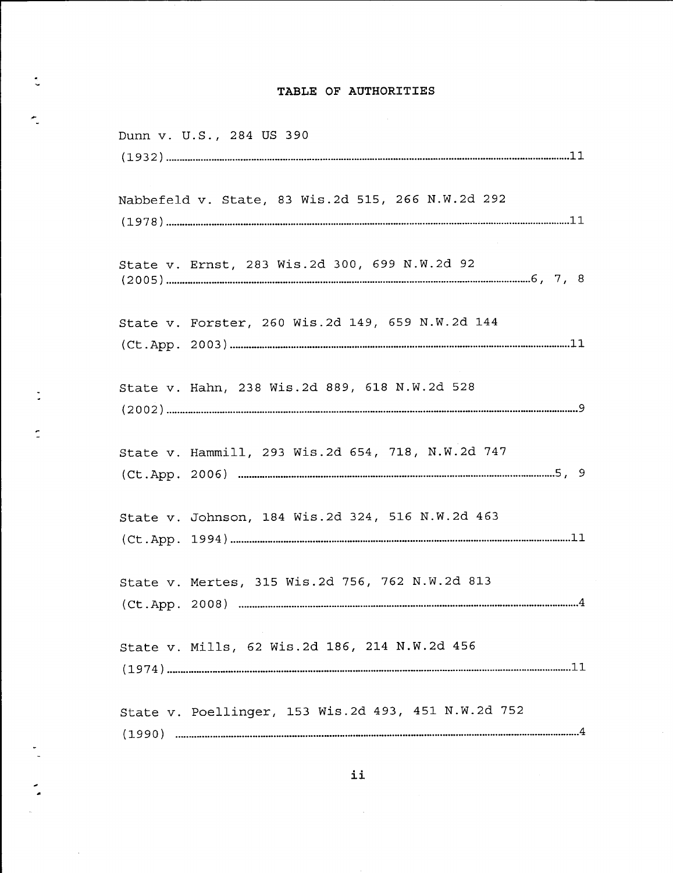# TABLE OF AUTHORITIES

 $\ddot{\ddot{\zeta}}$ 

×.

 $\ddot{\phantom{a}}$ 

 $\frac{1}{n}$ 

 $\bar{z}$ 

| Dunn v. U.S., 284 US 390                            |  |
|-----------------------------------------------------|--|
|                                                     |  |
| Nabbefeld v. State, 83 Wis.2d 515, 266 N.W.2d 292   |  |
|                                                     |  |
| State v. Ernst, 283 Wis.2d 300, 699 N.W.2d 92       |  |
| State v. Forster, 260 Wis.2d 149, 659 N.W.2d 144    |  |
| State v. Hahn, 238 Wis.2d 889, 618 N.W.2d 528       |  |
| State v. Hammill, 293 Wis.2d 654, 718, N.W.2d 747   |  |
| State v. Johnson, 184 Wis.2d 324, 516 N.W.2d 463    |  |
| State v. Mertes, 315 Wis.2d 756, 762 N.W.2d 813     |  |
| State v. Mills, 62 Wis.2d 186, 214 N.W.2d 456       |  |
| State v. Poellinger, 153 Wis.2d 493, 451 N.W.2d 752 |  |

 $\sim 10^6$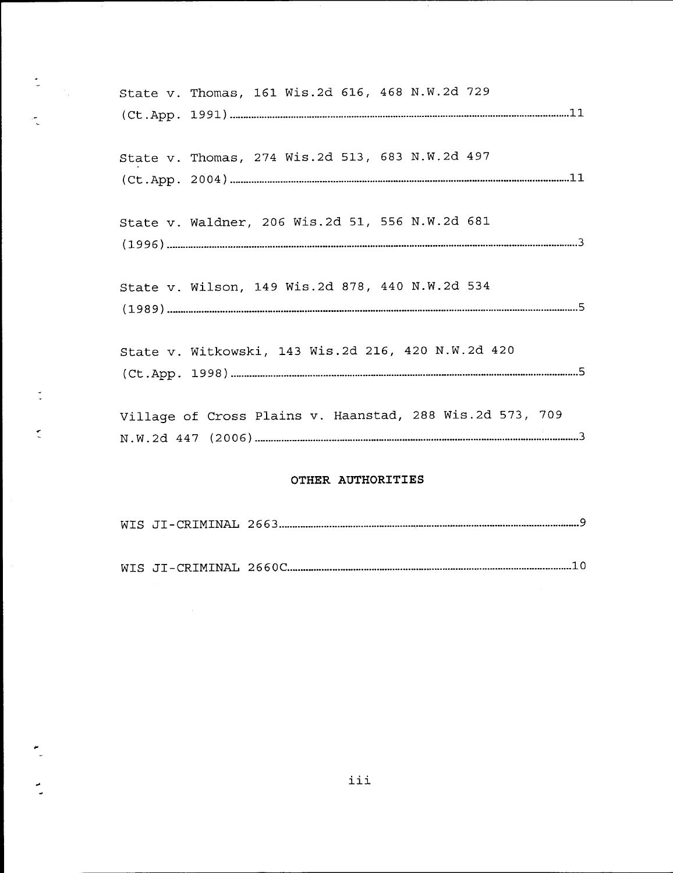| State v. Thomas, 161 Wis.2d 616, 468 N.W.2d 729          |  |
|----------------------------------------------------------|--|
|                                                          |  |
| State v. Thomas, 274 Wis.2d 513, 683 N.W.2d 497          |  |
| State v. Waldner, 206 Wis.2d 51, 556 N.W.2d 681          |  |
| State v. Wilson, 149 Wis.2d 878, 440 N.W.2d 534          |  |
| State v. Witkowski, 143 Wis.2d 216, 420 N.W.2d 420       |  |
| Village of Cross Plains v. Haanstad, 288 Wis.2d 573, 709 |  |

ξ.

 $\frac{9}{2}$ 

 $\tilde{\mathbb{C}}$ 

 $\frac{1}{2}$ 

 $\frac{1}{2}$ 

## OTHER AUTHORITIES

|--|--|--|--|

WIS JI-CRIMINAL 2660C. 10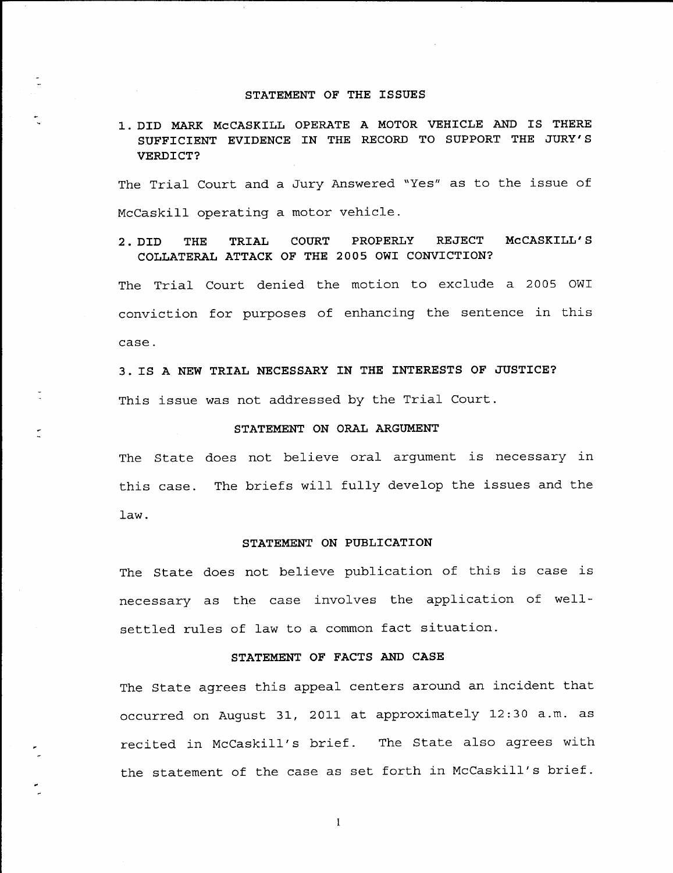#### STATEMENT OF THE ISSUES

# 1. DID MARK MCCASKILL OPERATE A MOTOR VEHICLE AND IS THERE SUFFICIENT EVIDENCE IN THE RECORD TO SUPPORT THE JURY'S VERDICT?

The Trial Court and a Jury Answered "Yes" as to the issue of McCaskill operating a motor vehicle.

## 2. DID THE TRIAL COURT PROPERLY REJECT MCCASKILL'S COLLATERAL ATTACK OF THE 2OO5 OWI CONVICTION?

The Trial Court denied the motion to exclude a 2005 OWI conviction for purposes of enhancing the sentence in this case.

3. IS A NEW TRIAL NECESSARY IN THE INTERESTS OF JUSTICE? This issue was not addressed by the Trial Court.

### STATEMENT ON ORAL ARGUMENT

The State does not believe oral argument is necessary in this case. The briefs will fully develop the issues and the Iaw.

#### STATEMENT ON PUBLICATION

The State does not believe publication of this is case is necessary as the case involves the application of well- settled rules of law to a common fact situation.

## STATEMENT OF FACTS AND CASE

The State agrees this appeal centers around an incident that occurred on August 31, 2011 at approximately 12:30 a.m. as recited in McCaskill's brief. The State also agrees with the statement of the case as set forth in McCaskill's brief.

I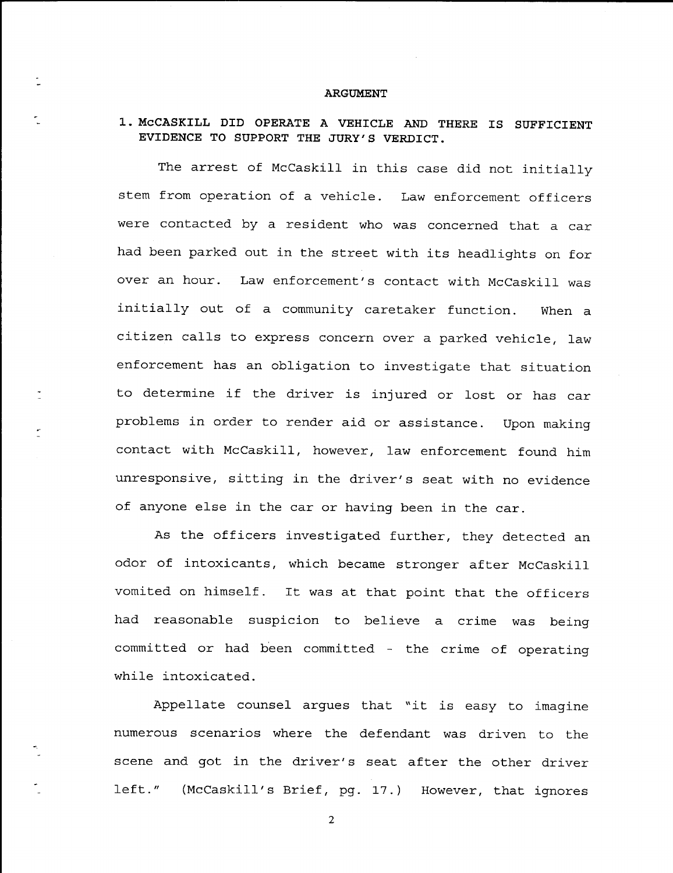#### **ARGUMENT**

## 1. McCASKILL DID OPERATE A VEHICLE AND THERE IS SUFFICIENT EVIDENCE TO SUPPORT THE JURY'S VERDICT.

The arrest of McCaskill in this case did not initially stem from operation of a vehicle. Law enforcement officers were contacted by a resident who was concerned that a car had been parked out in the street with its headlights on for over an hour. Law enforcement's contact with McCaskill was initially out of a community caretaker function. When a citizen calls to express concern over a parked vehicle, law enforcement has an obligation to investigate that situatio to determine if the driver is injured or 1ost. or has car problems in order to render aid or assistance. Upon making contact with Mccaskill, however, 1aw enforcement found him unresponsive, sitting in the driver's seat with no evidence of anyone else in the car or having been in the car.

As the officers investigated further, they detected an odor of intoxicants, which became stronger after McCaskill vomited on himself. It was at that point that the officers had reasonable suspicion to believe a crime was being committed or had been committed - the crime of operating while intoxicated.

Appellate counsel argues that "it is easy to imagine numerous scenarios where the defendant. was driven to the scene and got in the driver's seat after the other driver left." (McCaskill's Brief, pg. 17.) However, that ignores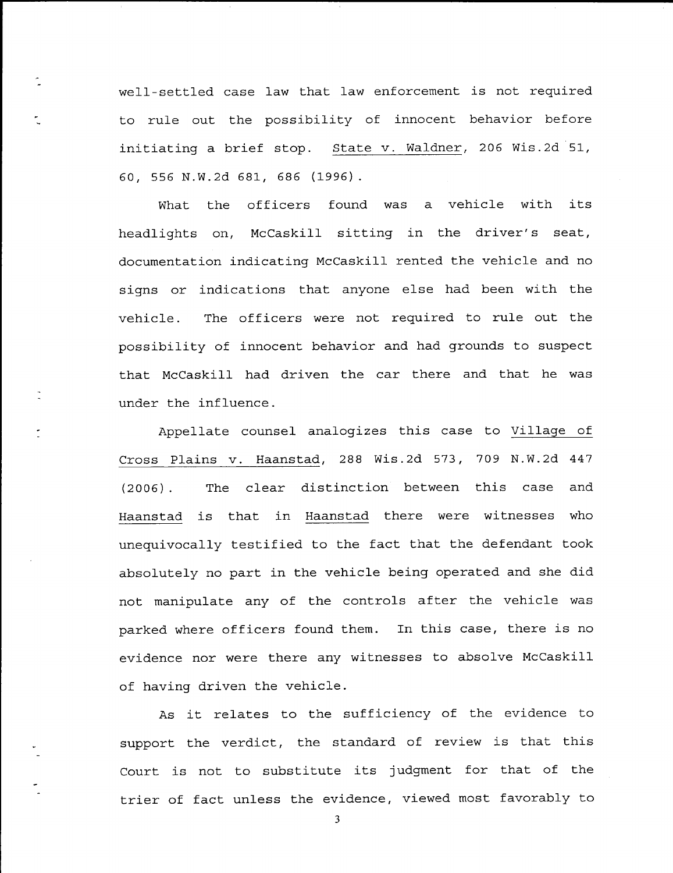well-settled case law that law enforcement is not required to rule out the possibility of innocent behavior before initiating a brief stop. <u>State v. Waldner</u>, 206 Wis.2d 51, <sup>60</sup>, 555 N .W .2d 681, 585 (L996) .

 $\tilde{\mathbb{Z}}$ 

What the officers found was a vehicle with its headlights on, McCaskill sitting in the driver's seat, documentation indicating McCaskill rented the vehicle and no signs or indications that anyone else had been with the vehicle. The officers were not required to rule out the possibility of innocent behavior and had grounds to suspect that McCaskill had driven the car there and that he was under the influence.

Appellate counsel analogizes this case to Village of Cross Plains v. Haanstad, 288 Wis.2d 573, 709 N.W.2d 447 (2006). The clear distinction between this case and Haanstad is that in Haanstad there were witnesses who unequivocally testified to the fact that the defendant took absolutely no part in the vehicle being operated and she did not manipulate any of the controls after the vehicle was parked where officers found them. In this case, there is no evidence nor were there any witnesses to absolve McCaskill of having driven the vehicle.

As it relates to the sufficiency of the evidence to support the verdict, the standard of review is that this Court is not to substitute its judgment for that of the trier of fact unless the evidence, viewed most favorably to

j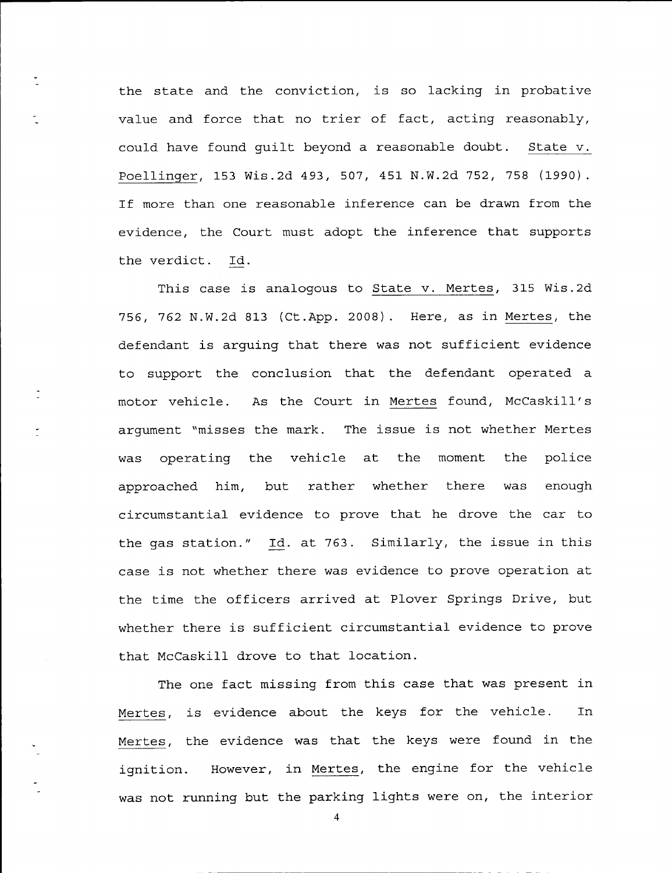Poellinger, 153 Wis.2d 493, 507, 451 N.W.2d 752, 758 (1990). If more than one reasonable inference can be drawn from the evidence, the Court must adopt the inference that supports the verdict. Id. the state and the conviction, is so lacking in probative value and force that. no trier of fact, acting reasonably, could have found guilt beyond a reasonable doubt. <u>State v</u>.

This case is analogous to State v. Mertes, 315 Wis.2d motor vehicle. As the Court in <u>Mertes</u> found, McCaskill's argument "misses the mark. The issue is not whether Mertes was operating the vehicle at, the moment approached him, 756, 762 N.W.2d 813 (Ct.App. 2008). Here, as in <u>Mertes</u>, the defendant is arguing that there was not sufficient evidence to support the conclusion that the defendant operated a rather whether there circumstantial evidence to prove that he drove the car to the police was enough the gas station." Id. at 763. Similarly, the issue in this case is not whether there was evidence to prove operation at the time the officers arrived at Plover Springs Drive, but whether there is sufficient circumstantial evidence to prove that McCaskill drove to that location.

Mertes, is evidence about the keys for the vehicle. In Mertes, the evidence was that the keys were found in the The one fact missing from this case that. was present in ignition. However, in <u>Mertes</u>, the engine for the vehicle was not running but the parking lights were on, the interio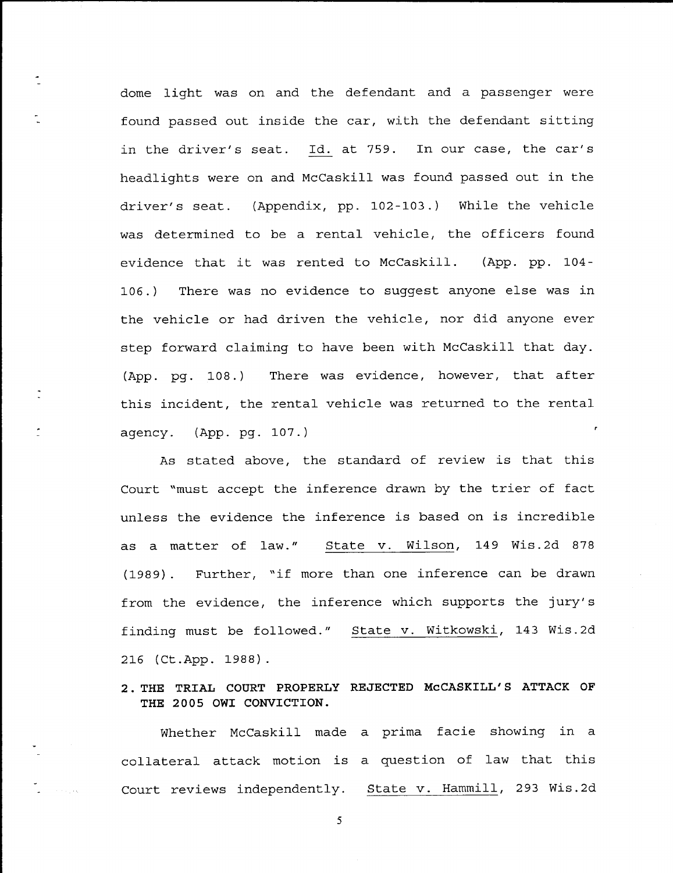dome light was on and the defendant and a passenger were found passed out inside the car, with the defendant sitting in the driver's seat. Id. at 759. In our case, the car's headlights were on and McCaskill was found passed out in the driver's seat. (Appendix, pp. 102-103.) While the vehicle was determined to be a rental vehicle, the officers found evidence that it was rented to McCaskill. (App. pp. 104-106. ) There was no evidence to suggest anyone else was in the vehicle or had driven the vehicle, nor did anyone ever step forward claiming to have been with McCaskill that day. pg. 108.) There was evidence, however, that after this incident, the rental vehicle was returned to the rental  $(App. pq. 108.)$ agency. (App. pg. <sup>107</sup>. )

As stated above, the standard of review is that this Court "must accept the inference drawn by the trier of fact unless the evidence the inference is based on is incredible as a matter of law." State v. Wilson, 149 Wis.2d 878 (1989). Further, "if more than one inference can be drawn from the evidence, the inference which supports the jury's finding must be followed." State v. Witkowski, 143 Wis.2d 2L6 (Ct.App. 1988 )

# 2. THE TRIAL COURT PROPERLY REJECTED MCCASKILL'S ATTACK OF THE 2005 OWI CONVICTION.

Whether McCaskilI made a prima facie showing in <sup>a</sup> collateral attack motion is a question of law that this Court reviews independently. State v. Hammill, 293 Wis.2d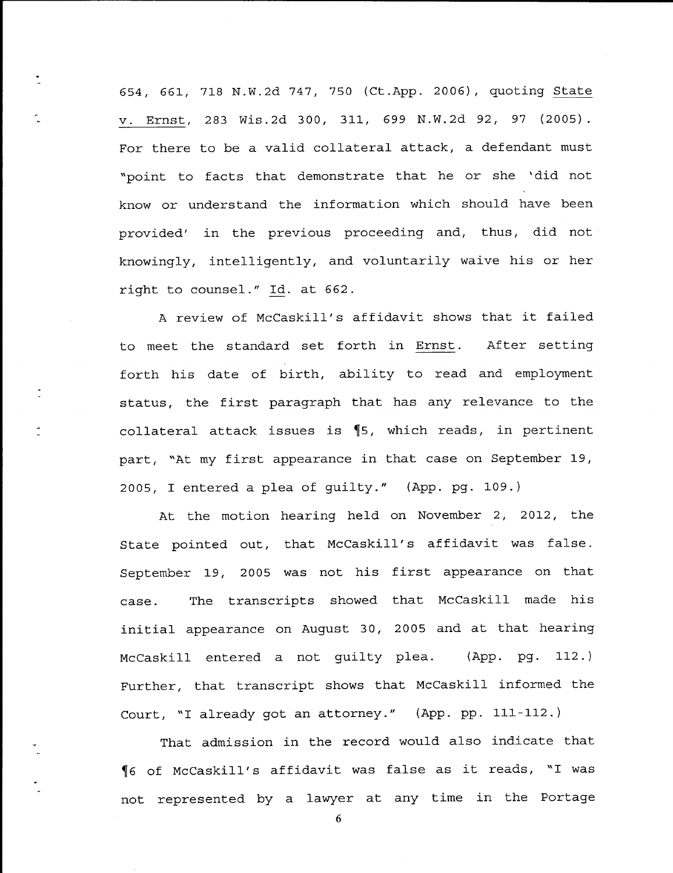554, 661, 718 N.W.2d 747, 750 (Ct.App. 2006), quoting <u>State</u> v. Ernst, 283 Wis.2d 300, 311, 699 N.W.2d 92, 97 (2005). For there to be a valid collateral attack, a defendant must "point to facts that demonstrate that he or she 'did not know or understand the information which should have been provided' in the previous proceeding and, thus, did not knowingly, intelligently, and voluntarily waive his or her right to counsel.' Id. at 662.

 $\ddot{\cdot}$ 

A review of McCaskill's affidavit shows that it failed to meet the standard set forth in Ernst. After setting part, "At my first appearance in that case on September 19, 2005, I entered a plea of guilty." (App. pg. 109.) forth his date of birth, ability to read and employment status, the first paragraph that. has any relevance to the collateral attack issues is  $\P$ 5, which reads, in pertinent

At the motion hearing held on November 2, 2012, the State pointed out, that McCaskill's affidavit was faIse. September 19, 2005 was not his first appearance on that case. transcripts showed that McCaskill made his initial appearance on August 30, 2005 and at that hearing McCaskill entered a not quilty plea. (App. pg. 112.) Further, that transcript shows that McCaskill informed the Court, "I already got an attorney." (App. pp. 111-112.)

 $\P$ 6 of McCaskill's affidavit was false as it reads, "I was not represented by a lawyer at any time in the Portage That admission in the record would also indicate that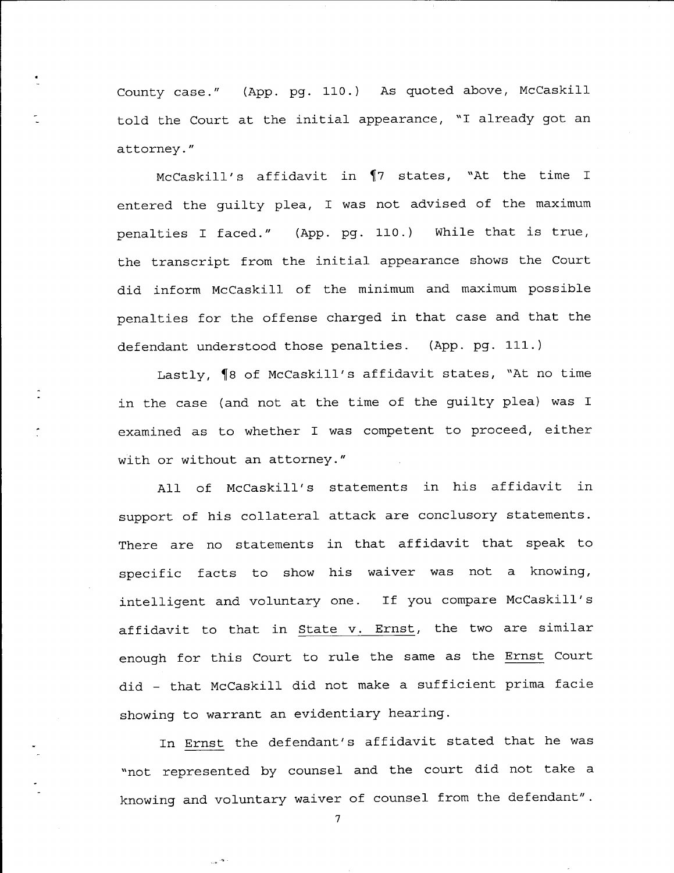County case." (App. pg. 110.) As quoted above, McCaskill told the Court at the initial appearance, "I already got an attorney. "

McCaskill's affidavit in  $\P$ 7 states, "At the time I entered the guilty plea, I was not advised of the maximum penalties I faced." (App. pg. 110.) While that is true, the transcript from the initial appearance shows the Court did inform McCaskill of the minimum and maximum possible penalties for the offense charged in that case and that the defendant understood those penalties. (App. pg. 111.)

Lastly,  $\P$ 8 of McCaskill's affidavit states, "At no time in the case (and not at the time of the guilty plea) was I examined as to whether I was competent to proceed, either with or without an attorney."

All of McCaskill's statements in his affidavit in support of his collateral attack are conclusory statements. There are no statements in that affidavit that speak to specific facts to show his waiver was not a knowing, intelligent and voluntary one. If you compare McCaskill's affidavit to that in <u>State v. Ernst</u>, the two are similar enough for this Court to rule the same as the <u>Ernst</u> Court did – that McCaskill did not make a sufficient prima facie showing to warrant an evidentiary hearing.

In Ernst the defendant's affidavit stated that he was "not represented by counsel and the court did not take <sup>a</sup> knowing and voluntary waiver of counsel from the defendant".

7

 $e^{i\frac{\pi}{2}}$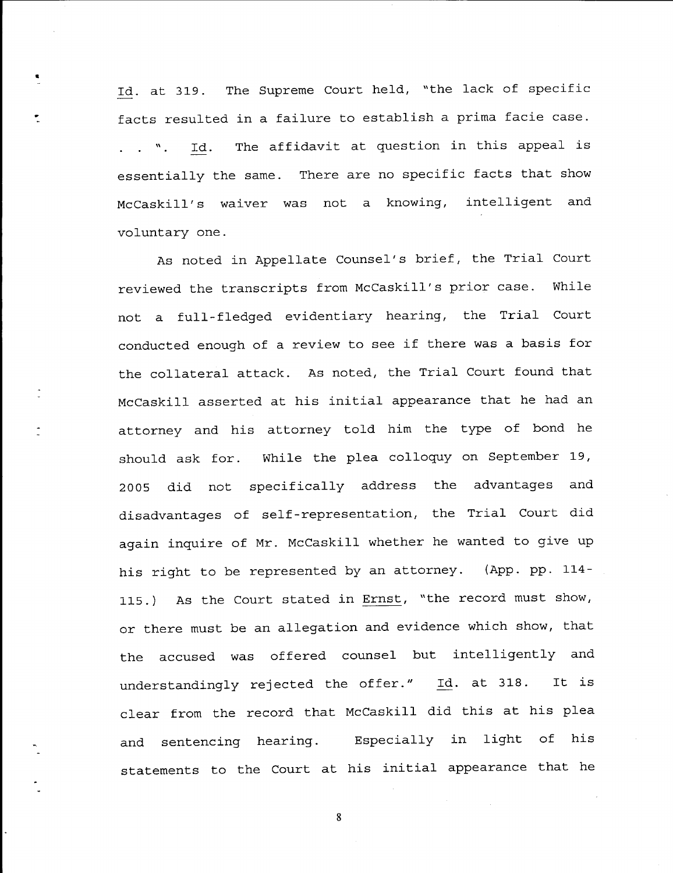Id. at 319. The Supreme Court held, "the lack of specific facts resulted in a failure to establish a prima facie case. Id. The affidavit at question in this appeal is  $\ldots$   $\ldots$ essentially the same. There are no specific facts that show not a knowing, intelligent and McCaskill's waiver was voluntary one.

As noted in Appellate Counsel's brief, the Trial Court reviewed the transcripts from McCaskill's prior case. While not a fu11-f1edged. evidentiary hearing, the Trial Court conducted. enough of a review to see if there was a basis for the collateral attack. As noted, the Tria1 Court found that McCaskill asserted at his initial appearance that he had an attorney and his attorney told him the type of bond he should ask for. While the plea colloquy on September 19, 2005 did not specifically address the advantages and disadvantages of self-representation, the Trial Court did again inquire of Mr. McCaskill whether he wanted to give up his right to be represented by an attorney. (App. pp. 114-115.) As the Court stated in Ernst, "the record must show, or there must be an allegation and evidence which show, that the accused was offered counsel but intelligently and understandingly rejected the offer." Id. at 318. It is clear from the record that McCaskill did this at his plea and sentencing hearing. Especially in light of his statements to the Court at his initial appearance that he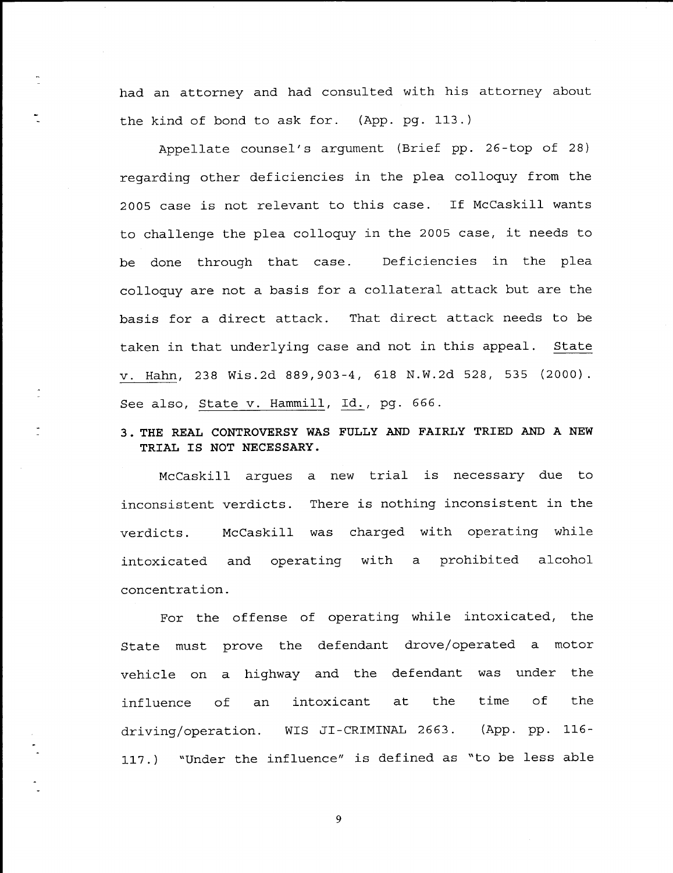had an attorney and had consulted with his attorney about the kind of bond to ask for. (App. pg. 113.)

Appellate counsel's argument (Brief pp. 26-top of 28) regarding other deficiencies in the plea colloquy from the 2005 case is not relevant to this case. If McCaskill wants to challenge the plea colloquy in the 2005 case, it needs to be done through that case. colloquy are not a basis for a collateral attack but are the Deficiencies in the plea basis for a direct attack. That direct attack needs to be taken in that underlying case and not in this appeal. State v. Hahn, 238 Wis.2d 889,903-4, 618 N.W.2d 528, 535 (2000) See also, <u>State v. Hammill, Id.,</u> pg. 666.

# 3. THE REAL CONTROVERSY WAS FULLY AND FAIRLY TRIED AND A NEW TRIAL IS NOT NECESSARY.

McCaskill arques a new trial is necessary due to inconsistent verdicts. There is nothing inconsistent in the verdicts. McCaskill was charged with operating while intoxicated and operating with a prohibited alcohol concentration.

For the offense of operating while intoxicated, the State must prove the defendant drove/operated a motor vehicle on a highway and the defendant was under the influence of an intoxicant at the time of the driving/operation. WIS JI-CRIMINAL 2663. (App. pp. 116-117.) "Under the influence" is defined as "to be less able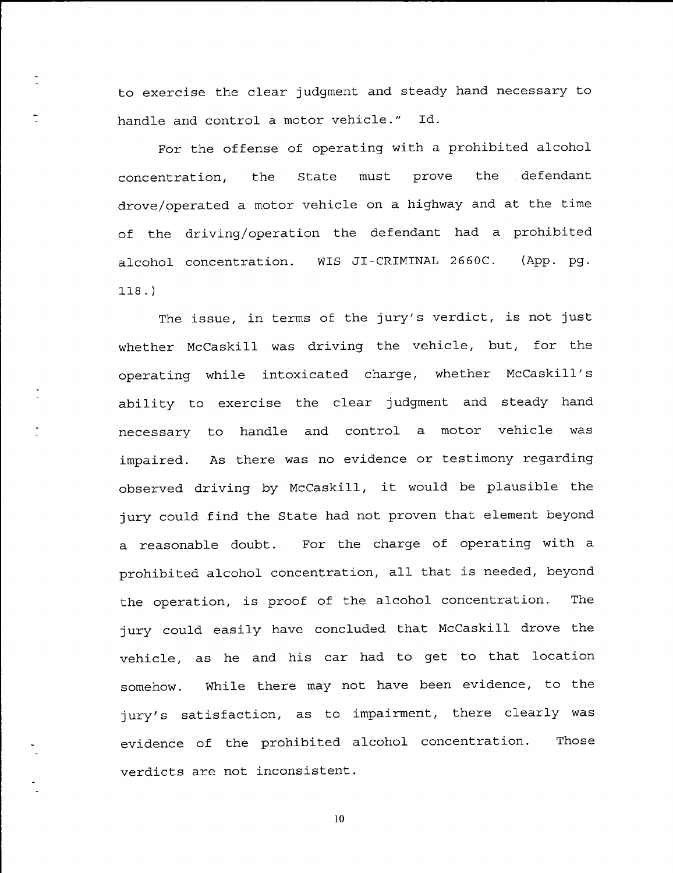to exercise the clear judgment and steady hand necessary to handle and control a motor vehicle." Id.

For the offense of operating with a prohibited alcohol concentration, the State must prove the defendanL drove/operated a motor vehicle on a highway and at the time of the driving/operation the defendant had a prohibited alcohol concentration. WIS JI-CRIMINAL 2660C. (App. pg. 118. )

The issue, in terms of the jury's verdict, is not just whether McCaskill was driving the vehicle, but, for the operating while intoxicated charge, whether McCaskill's ability to exercise the clear judgment and steady hand necessary to handle and control a motor vehicle was impaired. observed driving by McCaskill, it would be plausible the As there was no evidence or testimony regarding jury could find the State had not proven that element beyond a reasonable doubt. For the charge of operating with <sup>a</sup> prohibited alcohol concentration, all that is needed, beyond the operation, is proof of the alcohol concentration. The jury could easily have concluded that McCaskill drove the vehicle, as he and his car had to get to that location somehow. While there may not have been evidence, to the jury's satisfaction, as to impairment, there clearly was evidence of the prohibited alcohol concentration. Those verdicts are not inconsistent.

l0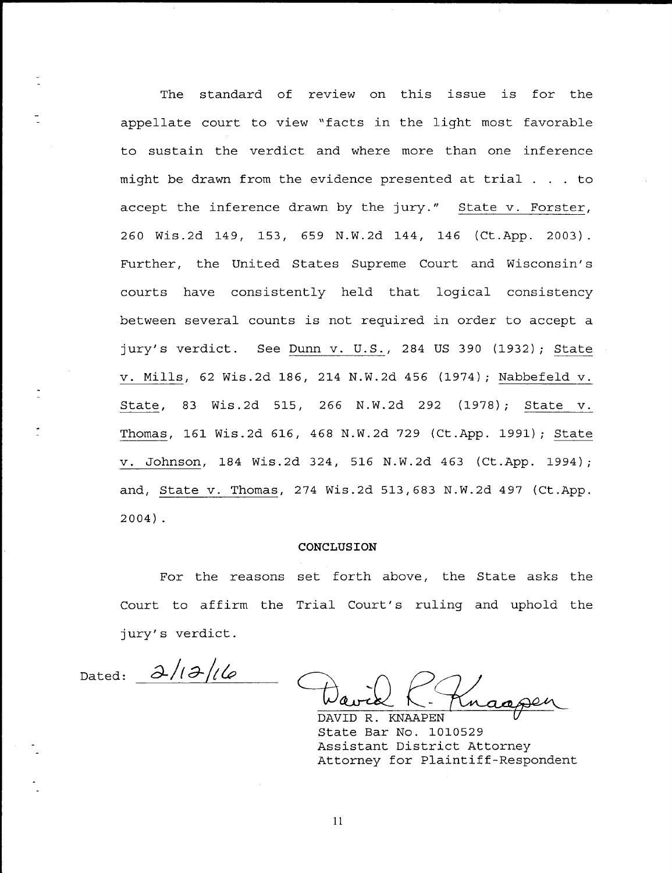The standard of review on this issue is for the appellate court to view "facts in the light most favorable to sustain the verdict and where more than one inference might be drawn from the evidence presented at trial . . . to accept the inference drawn by the jury." State v. Forster 260 Wis.2d 749, 153, 659 N.W.2d L44, <sup>746</sup> (Ct.App. 2003). Further, the United States Supreme Court and Wisconsin's courts have consistently held that logical consistency between several counts is not required in order to accept a jury's verdict. See <u>Dunn v. U.S.</u>, 284 US 390 (1932); <u>State</u> v. Mills, 62 Wis.2d 186, 214 N.W.2d 456 (1974); Nabbefeld v. State, 83 Wis.2d 515, 266 N.W.2d 292 (L97B) ; State v. <mark>Thomas</mark>, 161 Wis.2d 616, 468 N.W.2d 729 (Ct.App. 1991); <u>State</u> v. Johnson, 184 Wis.2d 324, 516 N.W.2d 463 (Ct.App. 1994); and, State v. Thomas, 274 Wis.2d  $513,683$  N.W.2d 497 (Ct.App. 2O04) .

#### CONCLUSION

For the reasons set forth above, the State asks the Court to affirm the Trial Court's ruling and uphold the jury's verdict.

Dated:  $\frac{\partial}{\partial \theta}$ 

DAVID R. KNAAPEN State Bar No. 1010529 Assistant District Attorney Attorney for Plaintiff-Respondent

t1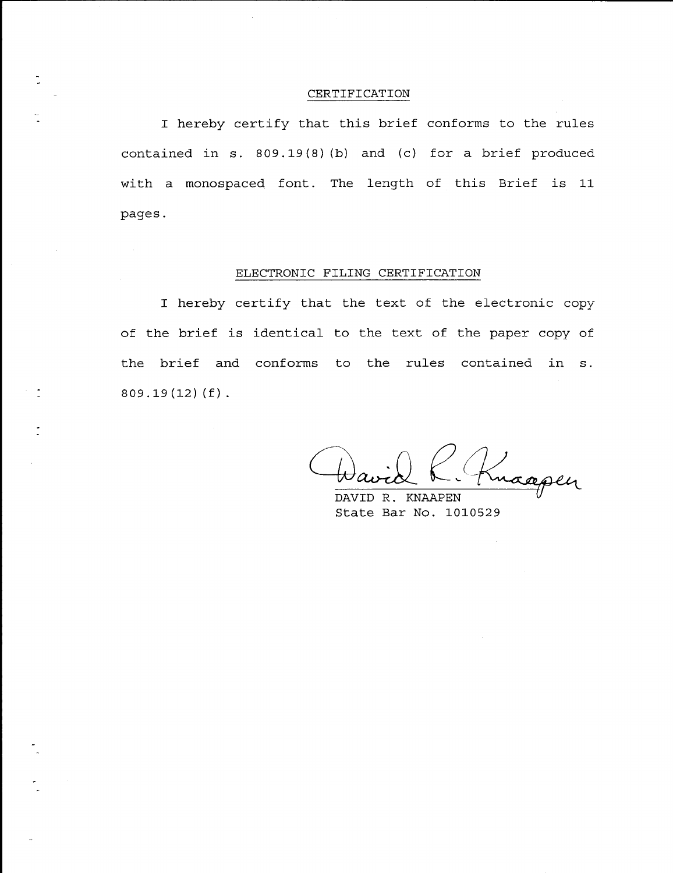### CERTIFTCATION

I hereby certify that this brief conforms to the rules contained in s. 809.19(8) (b) and (c) for a brief produced with a monospaced font. The length of this Brief is 11 pages.

#### ELECTRONIC FILING CERTIFICATION

 $\sim 10^7$ 

I hereby certify that the text of the electronic copy of the brief is identical to the text of the paper copy of the brief and conforms to the rules contained in s.  $809.19(12)(f)$ .

Knaapen

DAVID R. KNAAPEN State Bar No. 1010529